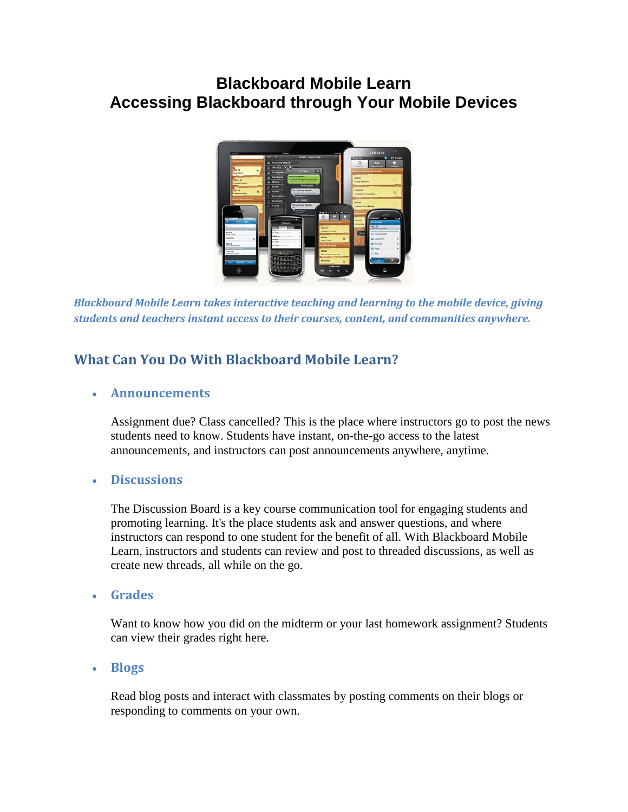# **Blackboard Mobile Learn Accessing Blackboard through Your Mobile Devices**



*Blackboard Mobile Learn takes interactive teaching and learning to the mobile device, giving students and teachers instant access to their courses, content, and communities anywhere.*

### **What Can You Do With Blackboard Mobile Learn?**

#### • **Announcements**

Assignment due? Class cancelled? This is the place where instructors go to post the news students need to know. Students have instant, on-the-go access to the latest announcements, and instructors can post announcements anywhere, anytime.

#### • **Discussions**

The Discussion Board is a key course communication tool for engaging students and promoting learning. It's the place students ask and answer questions, and where instructors can respond to one student for the benefit of all. With Blackboard Mobile Learn, instructors and students can review and post to threaded discussions, as well as create new threads, all while on the go.

• **Grades**

Want to know how you did on the midterm or your last homework assignment? Students can view their grades right here.

#### • **Blogs**

Read blog posts and interact with classmates by posting comments on their blogs or responding to comments on your own.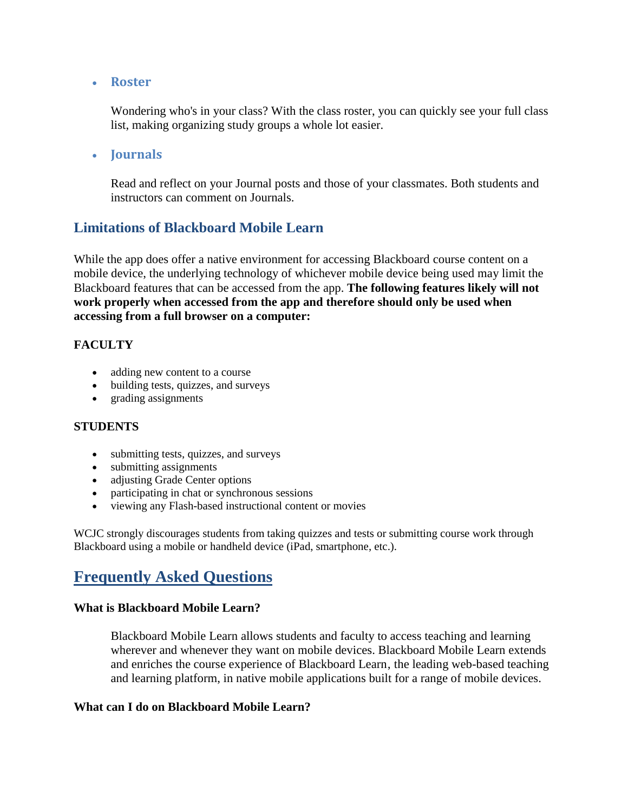• **Roster**

Wondering who's in your class? With the class roster, you can quickly see your full class list, making organizing study groups a whole lot easier.

• **Journals**

Read and reflect on your Journal posts and those of your classmates. Both students and instructors can comment on Journals.

### **Limitations of Blackboard Mobile Learn**

While the app does offer a native environment for accessing Blackboard course content on a mobile device, the underlying technology of whichever mobile device being used may limit the Blackboard features that can be accessed from the app. **The following features likely will not work properly when accessed from the app and therefore should only be used when accessing from a full browser on a computer:** 

#### **FACULTY**

- adding new content to a course
- building tests, quizzes, and surveys
- grading assignments

#### **STUDENTS**

- submitting tests, quizzes, and surveys
- submitting assignments
- adjusting Grade Center options
- participating in chat or synchronous sessions
- viewing any Flash-based instructional content or movies

WCJC strongly discourages students from taking quizzes and tests or submitting course work through Blackboard using a mobile or handheld device (iPad, smartphone, etc.).

# **Frequently Asked Questions**

#### **What is Blackboard Mobile Learn?**

Blackboard Mobile Learn allows students and faculty to access teaching and learning wherever and whenever they want on mobile devices. Blackboard Mobile Learn extends and enriches the course experience of Blackboard Learn, the leading web-based teaching and learning platform, in native mobile applications built for a range of mobile devices.

#### **What can I do on Blackboard Mobile Learn?**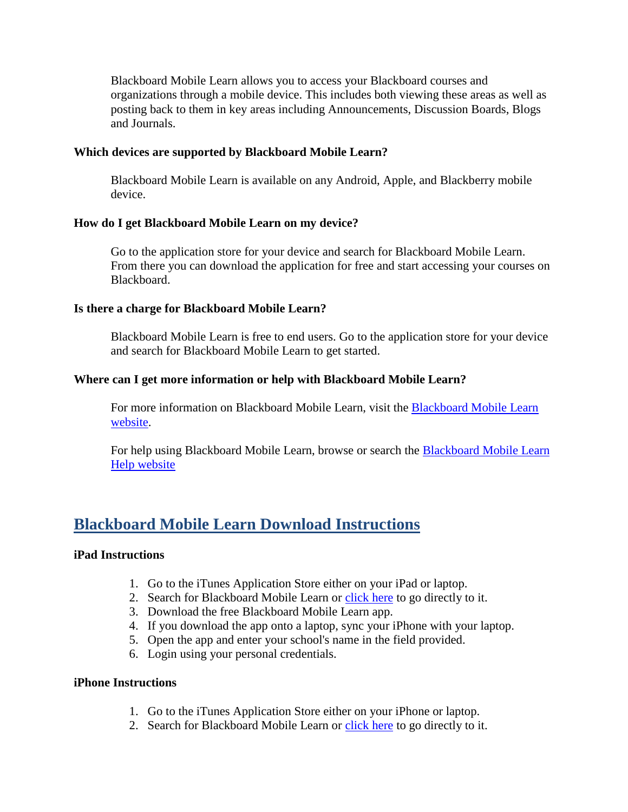Blackboard Mobile Learn allows you to access your Blackboard courses and organizations through a mobile device. This includes both viewing these areas as well as posting back to them in key areas including Announcements, Discussion Boards, Blogs and Journals.

#### **Which devices are supported by Blackboard Mobile Learn?**

Blackboard Mobile Learn is available on any Android, Apple, and Blackberry mobile device.

#### **How do I get Blackboard Mobile Learn on my device?**

Go to the application store for your device and search for Blackboard Mobile Learn. From there you can download the application for free and start accessing your courses on Blackboard.

#### **Is there a charge for Blackboard Mobile Learn?**

Blackboard Mobile Learn is free to end users. Go to the application store for your device and search for Blackboard Mobile Learn to get started.

#### **Where can I get more information or help with Blackboard Mobile Learn?**

For more information on Blackboard Mobile Learn, visit the [Blackboard Mobile Learn](http://www.blackboard.com/Mobile/Mobile-Learn.aspx)  [website.](http://www.blackboard.com/Mobile/Mobile-Learn.aspx)

For help using Blackboard Mobile Learn, browse or search the [Blackboard Mobile Learn](http://help.blackboardmobile.com/)  [Help website](http://help.blackboardmobile.com/)

## **Blackboard Mobile Learn Download Instructions**

#### **iPad Instructions**

- 1. Go to the iTunes Application Store either on your iPad or laptop.
- 2. Search for Blackboard Mobile Learn or [click here](http://itunes.apple.com/us/app/blackboard-mobile-learn/id364252826?mt=8) to go directly to it.
- 3. Download the free Blackboard Mobile Learn app.
- 4. If you download the app onto a laptop, sync your iPhone with your laptop.
- 5. Open the app and enter your school's name in the field provided.
- 6. Login using your personal credentials.

#### **iPhone Instructions**

- 1. Go to the iTunes Application Store either on your iPhone or laptop.
- 2. Search for Blackboard Mobile Learn or [click here](http://itunes.apple.com/us/app/blackboard-mobile-learn-for/id376413870?mt=8) to go directly to it.